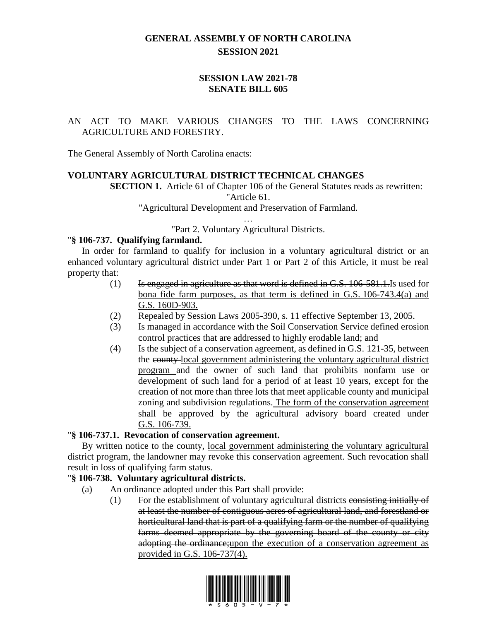## **GENERAL ASSEMBLY OF NORTH CAROLINA SESSION 2021**

### **SESSION LAW 2021-78 SENATE BILL 605**

### AN ACT TO MAKE VARIOUS CHANGES TO THE LAWS CONCERNING AGRICULTURE AND FORESTRY.

The General Assembly of North Carolina enacts:

#### **VOLUNTARY AGRICULTURAL DISTRICT TECHNICAL CHANGES**

**SECTION 1.** Article 61 of Chapter 106 of the General Statutes reads as rewritten:

"Article 61.

"Agricultural Development and Preservation of Farmland.

… "Part 2. Voluntary Agricultural Districts.

#### "**§ 106-737. Qualifying farmland.**

In order for farmland to qualify for inclusion in a voluntary agricultural district or an enhanced voluntary agricultural district under Part 1 or Part 2 of this Article, it must be real property that:

- $(1)$  Is engaged in agriculture as that word is defined in G.S. 106-581.1. Is used for bona fide farm purposes, as that term is defined in G.S. 106-743.4(a) and G.S. 160D-903.
- (2) Repealed by Session Laws 2005-390, s. 11 effective September 13, 2005.
- (3) Is managed in accordance with the Soil Conservation Service defined erosion control practices that are addressed to highly erodable land; and
- (4) Is the subject of a conservation agreement, as defined in G.S. 121-35, between the county local government administering the voluntary agricultural district program and the owner of such land that prohibits nonfarm use or development of such land for a period of at least 10 years, except for the creation of not more than three lots that meet applicable county and municipal zoning and subdivision regulations. The form of the conservation agreement shall be approved by the agricultural advisory board created under G.S. 106-739.

#### "**§ 106-737.1. Revocation of conservation agreement.**

By written notice to the county, local government administering the voluntary agricultural district program, the landowner may revoke this conservation agreement. Such revocation shall result in loss of qualifying farm status.

### "**§ 106-738. Voluntary agricultural districts.**

- (a) An ordinance adopted under this Part shall provide:
	- (1) For the establishment of voluntary agricultural districts consisting initially of at least the number of contiguous acres of agricultural land, and forestland or horticultural land that is part of a qualifying farm or the number of qualifying farms deemed appropriate by the governing board of the county or city adopting the ordinance;upon the execution of a conservation agreement as provided in G.S. 106-737(4).

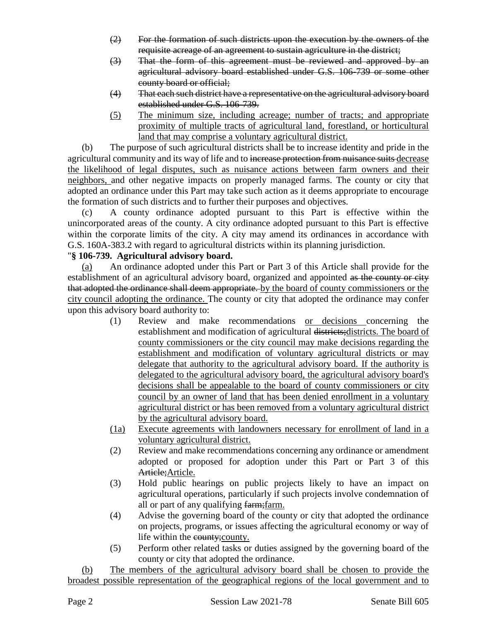- (2) For the formation of such districts upon the execution by the owners of the requisite acreage of an agreement to sustain agriculture in the district;
- (3) That the form of this agreement must be reviewed and approved by an agricultural advisory board established under G.S. 106-739 or some other county board or official;
- (4) That each such district have a representative on the agricultural advisory board established under G.S. 106-739.
- (5) The minimum size, including acreage; number of tracts; and appropriate proximity of multiple tracts of agricultural land, forestland, or horticultural land that may comprise a voluntary agricultural district.

(b) The purpose of such agricultural districts shall be to increase identity and pride in the agricultural community and its way of life and to increase protection from nuisance suits decrease the likelihood of legal disputes, such as nuisance actions between farm owners and their neighbors, and other negative impacts on properly managed farms. The county or city that adopted an ordinance under this Part may take such action as it deems appropriate to encourage the formation of such districts and to further their purposes and objectives.

A county ordinance adopted pursuant to this Part is effective within the unincorporated areas of the county. A city ordinance adopted pursuant to this Part is effective within the corporate limits of the city. A city may amend its ordinances in accordance with G.S. 160A-383.2 with regard to agricultural districts within its planning jurisdiction.

## "**§ 106-739. Agricultural advisory board.**

(a) An ordinance adopted under this Part or Part 3 of this Article shall provide for the establishment of an agricultural advisory board, organized and appointed as the county or city that adopted the ordinance shall deem appropriate. by the board of county commissioners or the city council adopting the ordinance. The county or city that adopted the ordinance may confer upon this advisory board authority to:

- (1) Review and make recommendations or decisions concerning the establishment and modification of agricultural districts; districts. The board of county commissioners or the city council may make decisions regarding the establishment and modification of voluntary agricultural districts or may delegate that authority to the agricultural advisory board. If the authority is delegated to the agricultural advisory board, the agricultural advisory board's decisions shall be appealable to the board of county commissioners or city council by an owner of land that has been denied enrollment in a voluntary agricultural district or has been removed from a voluntary agricultural district by the agricultural advisory board.
- (1a) Execute agreements with landowners necessary for enrollment of land in a voluntary agricultural district.
- (2) Review and make recommendations concerning any ordinance or amendment adopted or proposed for adoption under this Part or Part 3 of this Article; Article.
- (3) Hold public hearings on public projects likely to have an impact on agricultural operations, particularly if such projects involve condemnation of all or part of any qualifying farm;farm.
- (4) Advise the governing board of the county or city that adopted the ordinance on projects, programs, or issues affecting the agricultural economy or way of life within the county;county.
- (5) Perform other related tasks or duties assigned by the governing board of the county or city that adopted the ordinance.

(b) The members of the agricultural advisory board shall be chosen to provide the broadest possible representation of the geographical regions of the local government and to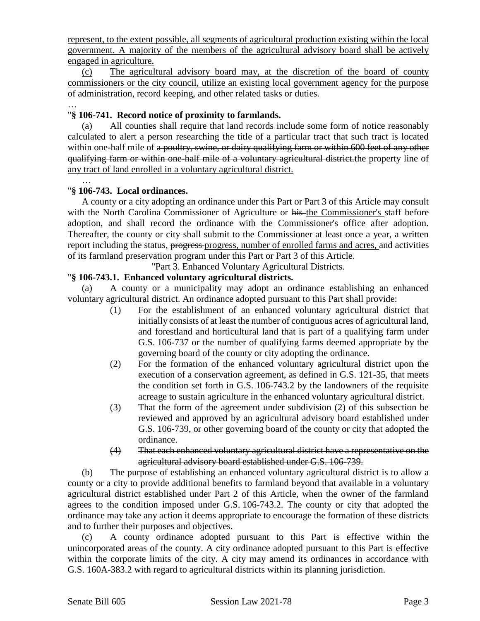represent, to the extent possible, all segments of agricultural production existing within the local government. A majority of the members of the agricultural advisory board shall be actively engaged in agriculture.

(c) The agricultural advisory board may, at the discretion of the board of county commissioners or the city council, utilize an existing local government agency for the purpose of administration, record keeping, and other related tasks or duties.

#### … "**§ 106-741. Record notice of proximity to farmlands.**

(a) All counties shall require that land records include some form of notice reasonably calculated to alert a person researching the title of a particular tract that such tract is located within one-half mile of a poultry, swine, or dairy qualifying farm or within 600 feet of any other qualifying farm or within one-half mile of a voluntary agricultural district.the property line of any tract of land enrolled in a voluntary agricultural district.

#### "**§ 106-743. Local ordinances.**

…

A county or a city adopting an ordinance under this Part or Part 3 of this Article may consult with the North Carolina Commissioner of Agriculture or his the Commissioner's staff before adoption, and shall record the ordinance with the Commissioner's office after adoption. Thereafter, the county or city shall submit to the Commissioner at least once a year, a written report including the status, progress-progress, number of enrolled farms and acres, and activities of its farmland preservation program under this Part or Part 3 of this Article.

"Part 3. Enhanced Voluntary Agricultural Districts.

#### "**§ 106-743.1. Enhanced voluntary agricultural districts.**

(a) A county or a municipality may adopt an ordinance establishing an enhanced voluntary agricultural district. An ordinance adopted pursuant to this Part shall provide:

- (1) For the establishment of an enhanced voluntary agricultural district that initially consists of at least the number of contiguous acres of agricultural land, and forestland and horticultural land that is part of a qualifying farm under G.S. 106-737 or the number of qualifying farms deemed appropriate by the governing board of the county or city adopting the ordinance.
- (2) For the formation of the enhanced voluntary agricultural district upon the execution of a conservation agreement, as defined in G.S. 121-35, that meets the condition set forth in G.S. 106-743.2 by the landowners of the requisite acreage to sustain agriculture in the enhanced voluntary agricultural district.
- (3) That the form of the agreement under subdivision (2) of this subsection be reviewed and approved by an agricultural advisory board established under G.S. 106-739, or other governing board of the county or city that adopted the ordinance.
- (4) That each enhanced voluntary agricultural district have a representative on the agricultural advisory board established under G.S. 106-739.

(b) The purpose of establishing an enhanced voluntary agricultural district is to allow a county or a city to provide additional benefits to farmland beyond that available in a voluntary agricultural district established under Part 2 of this Article, when the owner of the farmland agrees to the condition imposed under G.S. 106-743.2. The county or city that adopted the ordinance may take any action it deems appropriate to encourage the formation of these districts and to further their purposes and objectives.

(c) A county ordinance adopted pursuant to this Part is effective within the unincorporated areas of the county. A city ordinance adopted pursuant to this Part is effective within the corporate limits of the city. A city may amend its ordinances in accordance with G.S. 160A-383.2 with regard to agricultural districts within its planning jurisdiction.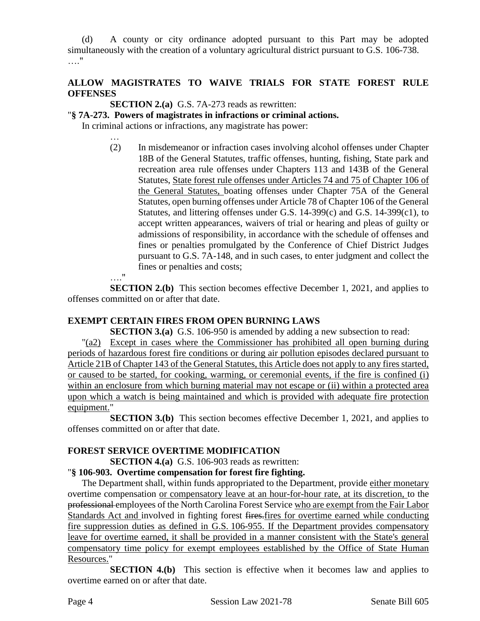(d) A county or city ordinance adopted pursuant to this Part may be adopted simultaneously with the creation of a voluntary agricultural district pursuant to G.S. 106-738. …."

## **ALLOW MAGISTRATES TO WAIVE TRIALS FOR STATE FOREST RULE OFFENSES**

**SECTION 2.(a)** G.S. 7A-273 reads as rewritten:

"**§ 7A-273. Powers of magistrates in infractions or criminal actions.**

In criminal actions or infractions, any magistrate has power:

… (2) In misdemeanor or infraction cases involving alcohol offenses under Chapter 18B of the General Statutes, traffic offenses, hunting, fishing, State park and recreation area rule offenses under Chapters 113 and 143B of the General Statutes, State forest rule offenses under Articles 74 and 75 of Chapter 106 of the General Statutes, boating offenses under Chapter 75A of the General Statutes, open burning offenses under Article 78 of Chapter 106 of the General Statutes, and littering offenses under G.S. 14-399(c) and G.S. 14-399(c1), to accept written appearances, waivers of trial or hearing and pleas of guilty or admissions of responsibility, in accordance with the schedule of offenses and fines or penalties promulgated by the Conference of Chief District Judges pursuant to G.S. 7A-148, and in such cases, to enter judgment and collect the fines or penalties and costs;

…."

**SECTION 2.(b)** This section becomes effective December 1, 2021, and applies to offenses committed on or after that date.

### **EXEMPT CERTAIN FIRES FROM OPEN BURNING LAWS**

**SECTION 3.(a)** G.S. 106-950 is amended by adding a new subsection to read:

"(a2) Except in cases where the Commissioner has prohibited all open burning during periods of hazardous forest fire conditions or during air pollution episodes declared pursuant to Article 21B of Chapter 143 of the General Statutes, this Article does not apply to any fires started, or caused to be started, for cooking, warming, or ceremonial events, if the fire is confined (i) within an enclosure from which burning material may not escape or (ii) within a protected area upon which a watch is being maintained and which is provided with adequate fire protection equipment."

**SECTION 3.(b)** This section becomes effective December 1, 2021, and applies to offenses committed on or after that date.

### **FOREST SERVICE OVERTIME MODIFICATION**

**SECTION 4.(a)** G.S. 106-903 reads as rewritten:

## "**§ 106-903. Overtime compensation for forest fire fighting.**

The Department shall, within funds appropriated to the Department, provide either monetary overtime compensation or compensatory leave at an hour-for-hour rate, at its discretion, to the professional employees of the North Carolina Forest Service who are exempt from the Fair Labor Standards Act and involved in fighting forest fires.fires for overtime earned while conducting fire suppression duties as defined in G.S. 106-955. If the Department provides compensatory leave for overtime earned, it shall be provided in a manner consistent with the State's general compensatory time policy for exempt employees established by the Office of State Human Resources."

**SECTION 4.(b)** This section is effective when it becomes law and applies to overtime earned on or after that date.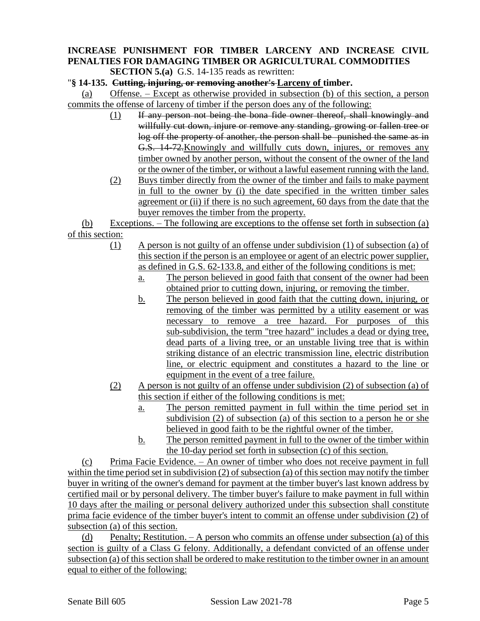# **INCREASE PUNISHMENT FOR TIMBER LARCENY AND INCREASE CIVIL PENALTIES FOR DAMAGING TIMBER OR AGRICULTURAL COMMODITIES**

**SECTION 5.(a)** G.S. 14-135 reads as rewritten:

#### "**§ 14-135. Cutting, injuring, or removing another's Larceny of timber.**

(a) Offense. – Except as otherwise provided in subsection (b) of this section, a person commits the offense of larceny of timber if the person does any of the following:

- (1) If any person not being the bona fide owner thereof, shall knowingly and willfully cut down, injure or remove any standing, growing or fallen tree or log off the property of another, the person shall be punished the same as in G.S. 14-72.Knowingly and willfully cuts down, injures, or removes any timber owned by another person, without the consent of the owner of the land or the owner of the timber, or without a lawful easement running with the land.
- (2) Buys timber directly from the owner of the timber and fails to make payment in full to the owner by (i) the date specified in the written timber sales agreement or (ii) if there is no such agreement, 60 days from the date that the buyer removes the timber from the property.

(b) Exceptions. – The following are exceptions to the offense set forth in subsection (a) of this section:

- (1) A person is not guilty of an offense under subdivision (1) of subsection (a) of this section if the person is an employee or agent of an electric power supplier, as defined in G.S. 62-133.8, and either of the following conditions is met:
	- a. The person believed in good faith that consent of the owner had been obtained prior to cutting down, injuring, or removing the timber.
	- b. The person believed in good faith that the cutting down, injuring, or removing of the timber was permitted by a utility easement or was necessary to remove a tree hazard. For purposes of this sub-subdivision, the term "tree hazard" includes a dead or dying tree, dead parts of a living tree, or an unstable living tree that is within striking distance of an electric transmission line, electric distribution line, or electric equipment and constitutes a hazard to the line or equipment in the event of a tree failure.
- (2) A person is not guilty of an offense under subdivision (2) of subsection (a) of this section if either of the following conditions is met:
	- a. The person remitted payment in full within the time period set in subdivision (2) of subsection (a) of this section to a person he or she believed in good faith to be the rightful owner of the timber.
	- b. The person remitted payment in full to the owner of the timber within the 10-day period set forth in subsection (c) of this section.

(c) Prima Facie Evidence. – An owner of timber who does not receive payment in full within the time period set in subdivision (2) of subsection (a) of this section may notify the timber buyer in writing of the owner's demand for payment at the timber buyer's last known address by certified mail or by personal delivery. The timber buyer's failure to make payment in full within 10 days after the mailing or personal delivery authorized under this subsection shall constitute prima facie evidence of the timber buyer's intent to commit an offense under subdivision (2) of subsection (a) of this section.

(d) Penalty; Restitution. – A person who commits an offense under subsection (a) of this section is guilty of a Class G felony. Additionally, a defendant convicted of an offense under subsection (a) of this section shall be ordered to make restitution to the timber owner in an amount equal to either of the following: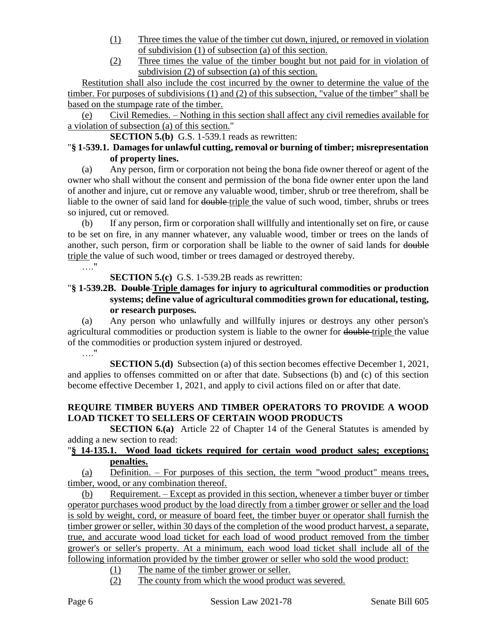- (1) Three times the value of the timber cut down, injured, or removed in violation of subdivision (1) of subsection (a) of this section.
- (2) Three times the value of the timber bought but not paid for in violation of subdivision (2) of subsection (a) of this section.

Restitution shall also include the cost incurred by the owner to determine the value of the timber. For purposes of subdivisions (1) and (2) of this subsection, "value of the timber" shall be based on the stumpage rate of the timber.

(e) Civil Remedies. – Nothing in this section shall affect any civil remedies available for a violation of subsection (a) of this section."

**SECTION 5.(b)** G.S. 1-539.1 reads as rewritten:

### "**§ 1-539.1. Damages for unlawful cutting, removal or burning of timber; misrepresentation of property lines.**

(a) Any person, firm or corporation not being the bona fide owner thereof or agent of the owner who shall without the consent and permission of the bona fide owner enter upon the land of another and injure, cut or remove any valuable wood, timber, shrub or tree therefrom, shall be liable to the owner of said land for double triple the value of such wood, timber, shrubs or trees so injured, cut or removed.

(b) If any person, firm or corporation shall willfully and intentionally set on fire, or cause to be set on fire, in any manner whatever, any valuable wood, timber or trees on the lands of another, such person, firm or corporation shall be liable to the owner of said lands for double triple the value of such wood, timber or trees damaged or destroyed thereby.

…."

**SECTION 5.(c)** G.S. 1-539.2B reads as rewritten:

## "**§ 1-539.2B. Double Triple damages for injury to agricultural commodities or production systems; define value of agricultural commodities grown for educational, testing, or research purposes.**

(a) Any person who unlawfully and willfully injures or destroys any other person's agricultural commodities or production system is liable to the owner for double triple the value of the commodities or production system injured or destroyed.

…."

**SECTION 5.(d)** Subsection (a) of this section becomes effective December 1, 2021, and applies to offenses committed on or after that date. Subsections (b) and (c) of this section become effective December 1, 2021, and apply to civil actions filed on or after that date.

## **REQUIRE TIMBER BUYERS AND TIMBER OPERATORS TO PROVIDE A WOOD LOAD TICKET TO SELLERS OF CERTAIN WOOD PRODUCTS**

**SECTION 6.(a)** Article 22 of Chapter 14 of the General Statutes is amended by adding a new section to read:

### "**§ 14-135.1. Wood load tickets required for certain wood product sales; exceptions; penalties.**

(a) Definition. – For purposes of this section, the term "wood product" means trees, timber, wood, or any combination thereof.

(b) Requirement. – Except as provided in this section, whenever a timber buyer or timber operator purchases wood product by the load directly from a timber grower or seller and the load is sold by weight, cord, or measure of board feet, the timber buyer or operator shall furnish the timber grower or seller, within 30 days of the completion of the wood product harvest, a separate, true, and accurate wood load ticket for each load of wood product removed from the timber grower's or seller's property. At a minimum, each wood load ticket shall include all of the following information provided by the timber grower or seller who sold the wood product:

- (1) The name of the timber grower or seller.
- (2) The county from which the wood product was severed.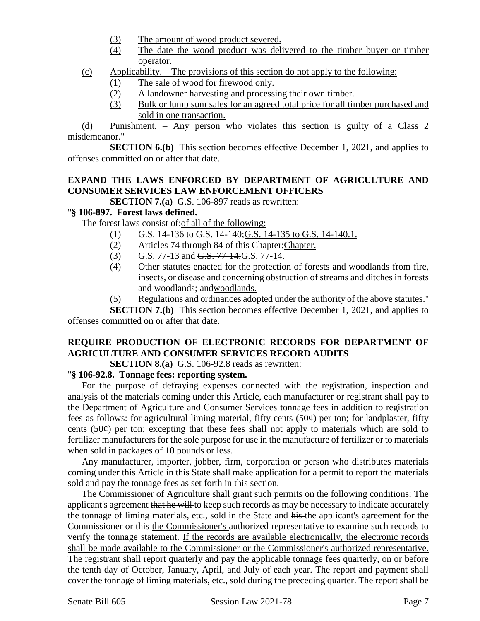- (3) The amount of wood product severed.
- (4) The date the wood product was delivered to the timber buyer or timber operator.
- (c) Applicability. The provisions of this section do not apply to the following:
	- (1) The sale of wood for firewood only.
	- (2) A landowner harvesting and processing their own timber.
	- (3) Bulk or lump sum sales for an agreed total price for all timber purchased and sold in one transaction.

(d) Punishment. – Any person who violates this section is guilty of a Class 2 misdemeanor."

**SECTION 6.(b)** This section becomes effective December 1, 2021, and applies to offenses committed on or after that date.

### **EXPAND THE LAWS ENFORCED BY DEPARTMENT OF AGRICULTURE AND CONSUMER SERVICES LAW ENFORCEMENT OFFICERS**

**SECTION 7.(a)** G.S. 106-897 reads as rewritten:

#### "**§ 106-897. Forest laws defined.**

The forest laws consist of the following:

- (1) G.S.  $14-136$  to G.S.  $14-140$ ; G.S.  $14-135$  to G.S.  $14-140.1$ .
- (2) Articles 74 through 84 of this Chapter;Chapter.
- (3) G.S. 77-13 and G.S. 77-14;G.S. 77-14.
- (4) Other statutes enacted for the protection of forests and woodlands from fire, insects, or disease and concerning obstruction of streams and ditches in forests and woodlands; andwoodlands.
- (5) Regulations and ordinances adopted under the authority of the above statutes."

**SECTION 7.(b)** This section becomes effective December 1, 2021, and applies to offenses committed on or after that date.

## **REQUIRE PRODUCTION OF ELECTRONIC RECORDS FOR DEPARTMENT OF AGRICULTURE AND CONSUMER SERVICES RECORD AUDITS**

**SECTION 8.(a)** G.S. 106-92.8 reads as rewritten:

#### "**§ 106-92.8. Tonnage fees: reporting system.**

For the purpose of defraying expenses connected with the registration, inspection and analysis of the materials coming under this Article, each manufacturer or registrant shall pay to the Department of Agriculture and Consumer Services tonnage fees in addition to registration fees as follows: for agricultural liming material, fifty cents  $(50¢)$  per ton; for landplaster, fifty cents  $(50¢)$  per ton; excepting that these fees shall not apply to materials which are sold to fertilizer manufacturers for the sole purpose for use in the manufacture of fertilizer or to materials when sold in packages of 10 pounds or less.

Any manufacturer, importer, jobber, firm, corporation or person who distributes materials coming under this Article in this State shall make application for a permit to report the materials sold and pay the tonnage fees as set forth in this section.

The Commissioner of Agriculture shall grant such permits on the following conditions: The applicant's agreement that he will to keep such records as may be necessary to indicate accurately the tonnage of liming materials, etc., sold in the State and his the applicant's agreement for the Commissioner or this the Commissioner's authorized representative to examine such records to verify the tonnage statement. If the records are available electronically, the electronic records shall be made available to the Commissioner or the Commissioner's authorized representative. The registrant shall report quarterly and pay the applicable tonnage fees quarterly, on or before the tenth day of October, January, April, and July of each year. The report and payment shall cover the tonnage of liming materials, etc., sold during the preceding quarter. The report shall be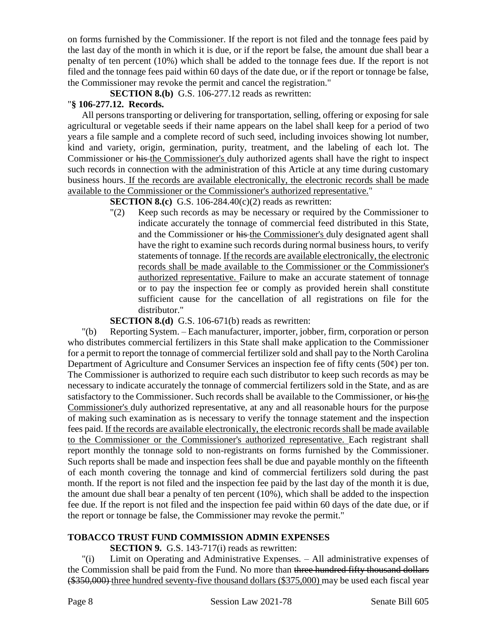on forms furnished by the Commissioner. If the report is not filed and the tonnage fees paid by the last day of the month in which it is due, or if the report be false, the amount due shall bear a penalty of ten percent (10%) which shall be added to the tonnage fees due. If the report is not filed and the tonnage fees paid within 60 days of the date due, or if the report or tonnage be false, the Commissioner may revoke the permit and cancel the registration."

**SECTION 8.(b)** G.S. 106-277.12 reads as rewritten:

### "**§ 106-277.12. Records.**

All persons transporting or delivering for transportation, selling, offering or exposing for sale agricultural or vegetable seeds if their name appears on the label shall keep for a period of two years a file sample and a complete record of such seed, including invoices showing lot number, kind and variety, origin, germination, purity, treatment, and the labeling of each lot. The Commissioner or his the Commissioner's duly authorized agents shall have the right to inspect such records in connection with the administration of this Article at any time during customary business hours. If the records are available electronically, the electronic records shall be made available to the Commissioner or the Commissioner's authorized representative."

**SECTION 8.(c)** G.S. 106-284.40(c)(2) reads as rewritten:

"(2) Keep such records as may be necessary or required by the Commissioner to indicate accurately the tonnage of commercial feed distributed in this State, and the Commissioner or his the Commissioner's duly designated agent shall have the right to examine such records during normal business hours, to verify statements of tonnage. If the records are available electronically, the electronic records shall be made available to the Commissioner or the Commissioner's authorized representative. Failure to make an accurate statement of tonnage or to pay the inspection fee or comply as provided herein shall constitute sufficient cause for the cancellation of all registrations on file for the distributor."

**SECTION 8.(d)** G.S. 106-671(b) reads as rewritten:

"(b) Reporting System. – Each manufacturer, importer, jobber, firm, corporation or person who distributes commercial fertilizers in this State shall make application to the Commissioner for a permit to report the tonnage of commercial fertilizer sold and shall pay to the North Carolina Department of Agriculture and Consumer Services an inspection fee of fifty cents (50¢) per ton. The Commissioner is authorized to require each such distributor to keep such records as may be necessary to indicate accurately the tonnage of commercial fertilizers sold in the State, and as are satisfactory to the Commissioner. Such records shall be available to the Commissioner, or his the Commissioner's duly authorized representative, at any and all reasonable hours for the purpose of making such examination as is necessary to verify the tonnage statement and the inspection fees paid. If the records are available electronically, the electronic records shall be made available to the Commissioner or the Commissioner's authorized representative. Each registrant shall report monthly the tonnage sold to non-registrants on forms furnished by the Commissioner. Such reports shall be made and inspection fees shall be due and payable monthly on the fifteenth of each month covering the tonnage and kind of commercial fertilizers sold during the past month. If the report is not filed and the inspection fee paid by the last day of the month it is due, the amount due shall bear a penalty of ten percent (10%), which shall be added to the inspection fee due. If the report is not filed and the inspection fee paid within 60 days of the date due, or if the report or tonnage be false, the Commissioner may revoke the permit."

## **TOBACCO TRUST FUND COMMISSION ADMIN EXPENSES**

**SECTION 9.** G.S. 143-717(i) reads as rewritten:

"(i) Limit on Operating and Administrative Expenses. – All administrative expenses of the Commission shall be paid from the Fund. No more than three hundred fifty thousand dollars (\$350,000) three hundred seventy-five thousand dollars (\$375,000) may be used each fiscal year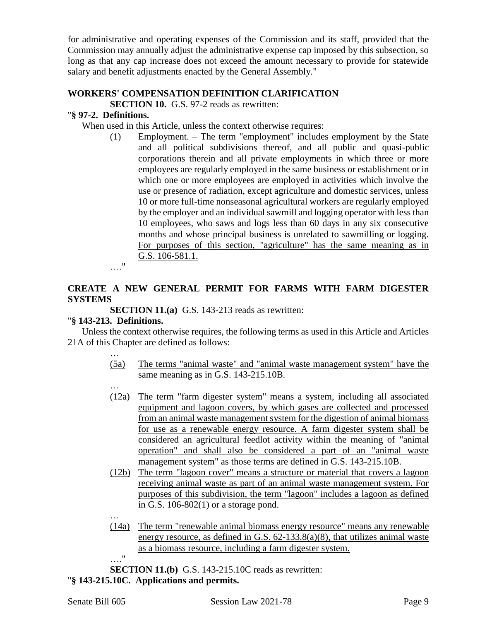for administrative and operating expenses of the Commission and its staff, provided that the Commission may annually adjust the administrative expense cap imposed by this subsection, so long as that any cap increase does not exceed the amount necessary to provide for statewide salary and benefit adjustments enacted by the General Assembly."

#### **WORKERS' COMPENSATION DEFINITION CLARIFICATION**

**SECTION 10.** G.S. 97-2 reads as rewritten:

### "**§ 97-2. Definitions.**

When used in this Article, unless the context otherwise requires:

(1) Employment. – The term "employment" includes employment by the State and all political subdivisions thereof, and all public and quasi-public corporations therein and all private employments in which three or more employees are regularly employed in the same business or establishment or in which one or more employees are employed in activities which involve the use or presence of radiation, except agriculture and domestic services, unless 10 or more full-time nonseasonal agricultural workers are regularly employed by the employer and an individual sawmill and logging operator with less than 10 employees, who saws and logs less than 60 days in any six consecutive months and whose principal business is unrelated to sawmilling or logging. For purposes of this section, "agriculture" has the same meaning as in G.S. 106-581.1.

…."

### **CREATE A NEW GENERAL PERMIT FOR FARMS WITH FARM DIGESTER SYSTEMS**

**SECTION 11.(a)** G.S. 143-213 reads as rewritten:

### "**§ 143-213. Definitions.**

Unless the context otherwise requires, the following terms as used in this Article and Articles 21A of this Chapter are defined as follows:

- … (5a) The terms "animal waste" and "animal waste management system" have the same meaning as in G.S. 143-215.10B.
- … (12a) The term "farm digester system" means a system, including all associated equipment and lagoon covers, by which gases are collected and processed from an animal waste management system for the digestion of animal biomass for use as a renewable energy resource. A farm digester system shall be considered an agricultural feedlot activity within the meaning of "animal operation" and shall also be considered a part of an "animal waste management system" as those terms are defined in G.S. 143-215.10B.
- (12b) The term "lagoon cover" means a structure or material that covers a lagoon receiving animal waste as part of an animal waste management system. For purposes of this subdivision, the term "lagoon" includes a lagoon as defined in G.S. 106-802(1) or a storage pond.
- (14a) The term "renewable animal biomass energy resource" means any renewable energy resource, as defined in G.S. 62-133.8(a)(8), that utilizes animal waste as a biomass resource, including a farm digester system.

…." **SECTION 11.(b)** G.S. 143-215.10C reads as rewritten: "**§ 143-215.10C. Applications and permits.**

…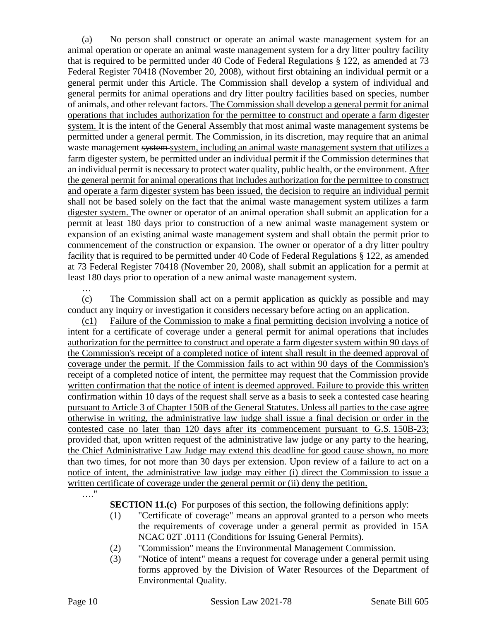(a) No person shall construct or operate an animal waste management system for an animal operation or operate an animal waste management system for a dry litter poultry facility that is required to be permitted under 40 Code of Federal Regulations § 122, as amended at 73 Federal Register 70418 (November 20, 2008), without first obtaining an individual permit or a general permit under this Article. The Commission shall develop a system of individual and general permits for animal operations and dry litter poultry facilities based on species, number of animals, and other relevant factors. The Commission shall develop a general permit for animal operations that includes authorization for the permittee to construct and operate a farm digester system. It is the intent of the General Assembly that most animal waste management systems be permitted under a general permit. The Commission, in its discretion, may require that an animal waste management system system, including an animal waste management system that utilizes a farm digester system, be permitted under an individual permit if the Commission determines that an individual permit is necessary to protect water quality, public health, or the environment. After the general permit for animal operations that includes authorization for the permittee to construct and operate a farm digester system has been issued, the decision to require an individual permit shall not be based solely on the fact that the animal waste management system utilizes a farm digester system. The owner or operator of an animal operation shall submit an application for a permit at least 180 days prior to construction of a new animal waste management system or expansion of an existing animal waste management system and shall obtain the permit prior to commencement of the construction or expansion. The owner or operator of a dry litter poultry facility that is required to be permitted under 40 Code of Federal Regulations § 122, as amended at 73 Federal Register 70418 (November 20, 2008), shall submit an application for a permit at least 180 days prior to operation of a new animal waste management system.

(c) The Commission shall act on a permit application as quickly as possible and may conduct any inquiry or investigation it considers necessary before acting on an application.

(c1) Failure of the Commission to make a final permitting decision involving a notice of intent for a certificate of coverage under a general permit for animal operations that includes authorization for the permittee to construct and operate a farm digester system within 90 days of the Commission's receipt of a completed notice of intent shall result in the deemed approval of coverage under the permit. If the Commission fails to act within 90 days of the Commission's receipt of a completed notice of intent, the permittee may request that the Commission provide written confirmation that the notice of intent is deemed approved. Failure to provide this written confirmation within 10 days of the request shall serve as a basis to seek a contested case hearing pursuant to Article 3 of Chapter 150B of the General Statutes. Unless all parties to the case agree otherwise in writing, the administrative law judge shall issue a final decision or order in the contested case no later than 120 days after its commencement pursuant to G.S. 150B-23; provided that, upon written request of the administrative law judge or any party to the hearing, the Chief Administrative Law Judge may extend this deadline for good cause shown, no more than two times, for not more than 30 days per extension. Upon review of a failure to act on a notice of intent, the administrative law judge may either (i) direct the Commission to issue a written certificate of coverage under the general permit or (ii) deny the petition.

…."

…

**SECTION 11.(c)** For purposes of this section, the following definitions apply:

- (1) "Certificate of coverage" means an approval granted to a person who meets the requirements of coverage under a general permit as provided in 15A NCAC 02T .0111 (Conditions for Issuing General Permits).
- (2) "Commission" means the Environmental Management Commission.
- (3) "Notice of intent" means a request for coverage under a general permit using forms approved by the Division of Water Resources of the Department of Environmental Quality.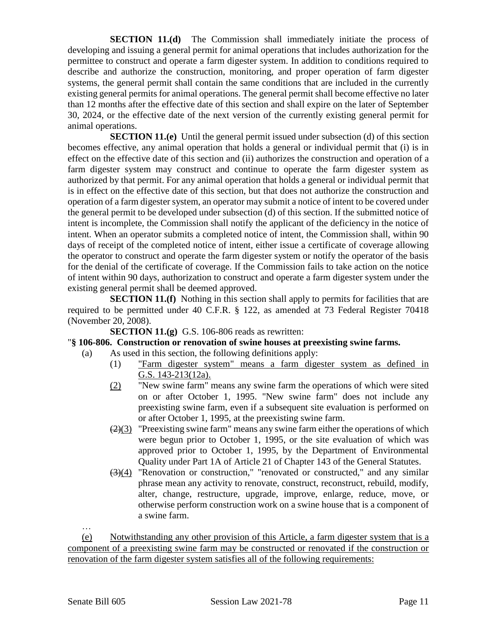**SECTION 11.(d)** The Commission shall immediately initiate the process of developing and issuing a general permit for animal operations that includes authorization for the permittee to construct and operate a farm digester system. In addition to conditions required to describe and authorize the construction, monitoring, and proper operation of farm digester systems, the general permit shall contain the same conditions that are included in the currently existing general permits for animal operations. The general permit shall become effective no later than 12 months after the effective date of this section and shall expire on the later of September 30, 2024, or the effective date of the next version of the currently existing general permit for animal operations.

**SECTION 11.(e)** Until the general permit issued under subsection (d) of this section becomes effective, any animal operation that holds a general or individual permit that (i) is in effect on the effective date of this section and (ii) authorizes the construction and operation of a farm digester system may construct and continue to operate the farm digester system as authorized by that permit. For any animal operation that holds a general or individual permit that is in effect on the effective date of this section, but that does not authorize the construction and operation of a farm digester system, an operator may submit a notice of intent to be covered under the general permit to be developed under subsection (d) of this section. If the submitted notice of intent is incomplete, the Commission shall notify the applicant of the deficiency in the notice of intent. When an operator submits a completed notice of intent, the Commission shall, within 90 days of receipt of the completed notice of intent, either issue a certificate of coverage allowing the operator to construct and operate the farm digester system or notify the operator of the basis for the denial of the certificate of coverage. If the Commission fails to take action on the notice of intent within 90 days, authorization to construct and operate a farm digester system under the existing general permit shall be deemed approved.

**SECTION 11.(f)** Nothing in this section shall apply to permits for facilities that are required to be permitted under 40 C.F.R. § 122, as amended at 73 Federal Register 70418 (November 20, 2008).

**SECTION 11.(g)** G.S. 106-806 reads as rewritten:

#### "**§ 106-806. Construction or renovation of swine houses at preexisting swine farms.**

- (a) As used in this section, the following definitions apply:
	- (1) "Farm digester system" means a farm digester system as defined in G.S. 143-213(12a).
	- (2) "New swine farm" means any swine farm the operations of which were sited on or after October 1, 1995. "New swine farm" does not include any preexisting swine farm, even if a subsequent site evaluation is performed on or after October 1, 1995, at the preexisting swine farm.
	- $(2)(3)$  "Preexisting swine farm" means any swine farm either the operations of which were begun prior to October 1, 1995, or the site evaluation of which was approved prior to October 1, 1995, by the Department of Environmental Quality under Part 1A of Article 21 of Chapter 143 of the General Statutes.
	- $(3)(4)$  "Renovation or construction," "renovated or constructed," and any similar phrase mean any activity to renovate, construct, reconstruct, rebuild, modify, alter, change, restructure, upgrade, improve, enlarge, reduce, move, or otherwise perform construction work on a swine house that is a component of a swine farm.

…

(e) Notwithstanding any other provision of this Article, a farm digester system that is a component of a preexisting swine farm may be constructed or renovated if the construction or renovation of the farm digester system satisfies all of the following requirements: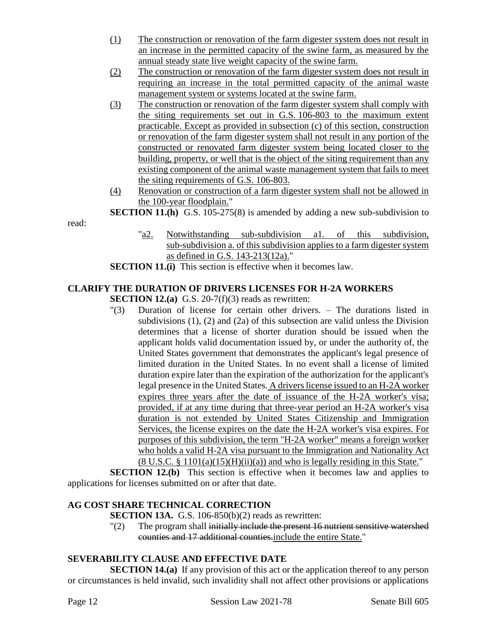- (1) The construction or renovation of the farm digester system does not result in an increase in the permitted capacity of the swine farm, as measured by the annual steady state live weight capacity of the swine farm.
- (2) The construction or renovation of the farm digester system does not result in requiring an increase in the total permitted capacity of the animal waste management system or systems located at the swine farm.
- (3) The construction or renovation of the farm digester system shall comply with the siting requirements set out in G.S. 106-803 to the maximum extent practicable. Except as provided in subsection (c) of this section, construction or renovation of the farm digester system shall not result in any portion of the constructed or renovated farm digester system being located closer to the building, property, or well that is the object of the siting requirement than any existing component of the animal waste management system that fails to meet the siting requirements of G.S. 106-803.
- (4) Renovation or construction of a farm digester system shall not be allowed in the 100-year floodplain."

**SECTION 11.(h)** G.S. 105-275(8) is amended by adding a new sub-subdivision to

- read:
- "a2. Notwithstanding sub-subdivision a1. of this subdivision, sub-subdivision a. of this subdivision applies to a farm digester system as defined in G.S. 143-213(12a)."

**SECTION 11.(i)** This section is effective when it becomes law.

## **CLARIFY THE DURATION OF DRIVERS LICENSES FOR H-2A WORKERS**

**SECTION 12.(a)** G.S. 20-7(f)(3) reads as rewritten:

"(3) Duration of license for certain other drivers. – The durations listed in subdivisions (1), (2) and (2a) of this subsection are valid unless the Division determines that a license of shorter duration should be issued when the applicant holds valid documentation issued by, or under the authority of, the United States government that demonstrates the applicant's legal presence of limited duration in the United States. In no event shall a license of limited duration expire later than the expiration of the authorization for the applicant's legal presence in the United States. A drivers license issued to an H-2A worker expires three years after the date of issuance of the H-2A worker's visa; provided, if at any time during that three-year period an H-2A worker's visa duration is not extended by United States Citizenship and Immigration Services, the license expires on the date the H-2A worker's visa expires. For purposes of this subdivision, the term "H-2A worker" means a foreign worker who holds a valid H-2A visa pursuant to the Immigration and Nationality Act  $(8 \text{ U.S.C. } \S 1101(a)(15)(\text{H})(\text{ii})(a))$  and who is legally residing in this State."

**SECTION 12.(b)** This section is effective when it becomes law and applies to applications for licenses submitted on or after that date.

## **AG COST SHARE TECHNICAL CORRECTION**

**SECTION 13A.** G.S. 106-850(b)(2) reads as rewritten:

"(2) The program shall initially include the present 16 nutrient sensitive watershed counties and 17 additional counties.include the entire State."

### **SEVERABILITY CLAUSE AND EFFECTIVE DATE**

**SECTION 14.(a)** If any provision of this act or the application thereof to any person or circumstances is held invalid, such invalidity shall not affect other provisions or applications